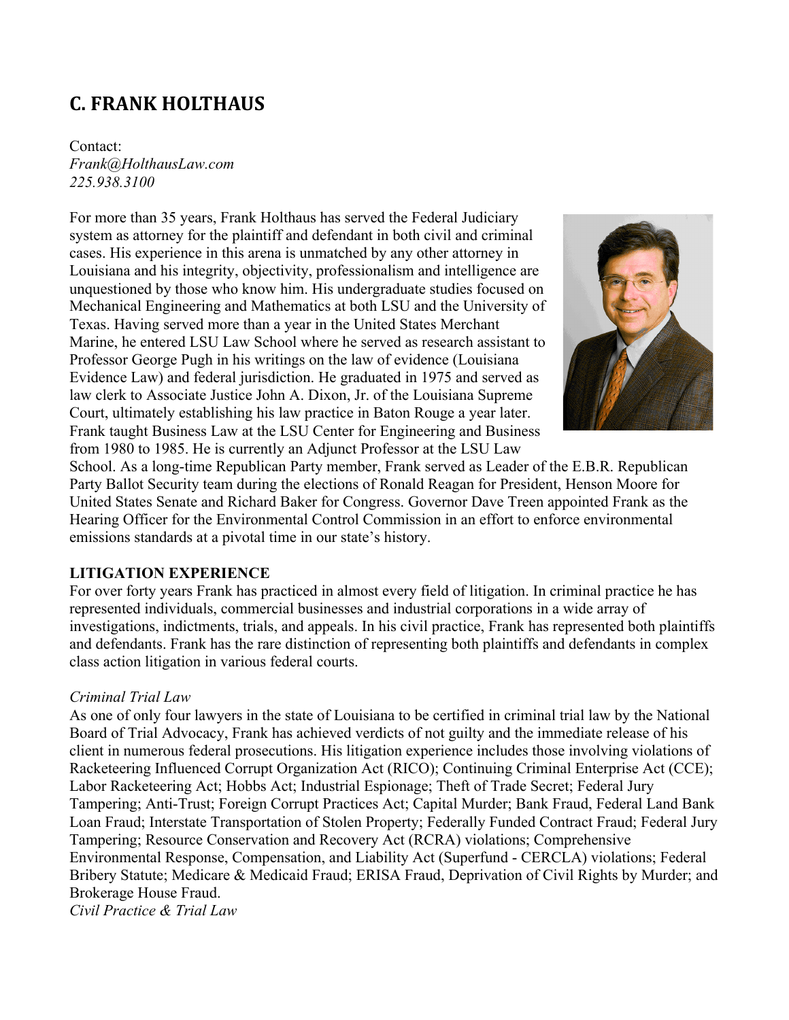# **C. FRANK HOLTHAUS**

Contact: *Frank@HolthausLaw.com 225.938.3100*

For more than 35 years, Frank Holthaus has served the Federal Judiciary system as attorney for the plaintiff and defendant in both civil and criminal cases. His experience in this arena is unmatched by any other attorney in Louisiana and his integrity, objectivity, professionalism and intelligence are unquestioned by those who know him. His undergraduate studies focused on Mechanical Engineering and Mathematics at both LSU and the University of Texas. Having served more than a year in the United States Merchant Marine, he entered LSU Law School where he served as research assistant to Professor George Pugh in his writings on the law of evidence (Louisiana Evidence Law) and federal jurisdiction. He graduated in 1975 and served as law clerk to Associate Justice John A. Dixon, Jr. of the Louisiana Supreme Court, ultimately establishing his law practice in Baton Rouge a year later. Frank taught Business Law at the LSU Center for Engineering and Business from 1980 to 1985. He is currently an Adjunct Professor at the LSU Law



School. As a long-time Republican Party member, Frank served as Leader of the E.B.R. Republican Party Ballot Security team during the elections of Ronald Reagan for President, Henson Moore for United States Senate and Richard Baker for Congress. Governor Dave Treen appointed Frank as the Hearing Officer for the Environmental Control Commission in an effort to enforce environmental emissions standards at a pivotal time in our state's history.

### **LITIGATION EXPERIENCE**

For over forty years Frank has practiced in almost every field of litigation. In criminal practice he has represented individuals, commercial businesses and industrial corporations in a wide array of investigations, indictments, trials, and appeals. In his civil practice, Frank has represented both plaintiffs and defendants. Frank has the rare distinction of representing both plaintiffs and defendants in complex class action litigation in various federal courts.

## *Criminal Trial Law*

As one of only four lawyers in the state of Louisiana to be certified in criminal trial law by the National Board of Trial Advocacy, Frank has achieved verdicts of not guilty and the immediate release of his client in numerous federal prosecutions. His litigation experience includes those involving violations of Racketeering Influenced Corrupt Organization Act (RICO); Continuing Criminal Enterprise Act (CCE); Labor Racketeering Act; Hobbs Act; Industrial Espionage; Theft of Trade Secret; Federal Jury Tampering; Anti-Trust; Foreign Corrupt Practices Act; Capital Murder; Bank Fraud, Federal Land Bank Loan Fraud; Interstate Transportation of Stolen Property; Federally Funded Contract Fraud; Federal Jury Tampering; Resource Conservation and Recovery Act (RCRA) violations; Comprehensive Environmental Response, Compensation, and Liability Act (Superfund - CERCLA) violations; Federal Bribery Statute; Medicare & Medicaid Fraud; ERISA Fraud, Deprivation of Civil Rights by Murder; and Brokerage House Fraud.

*Civil Practice & Trial Law*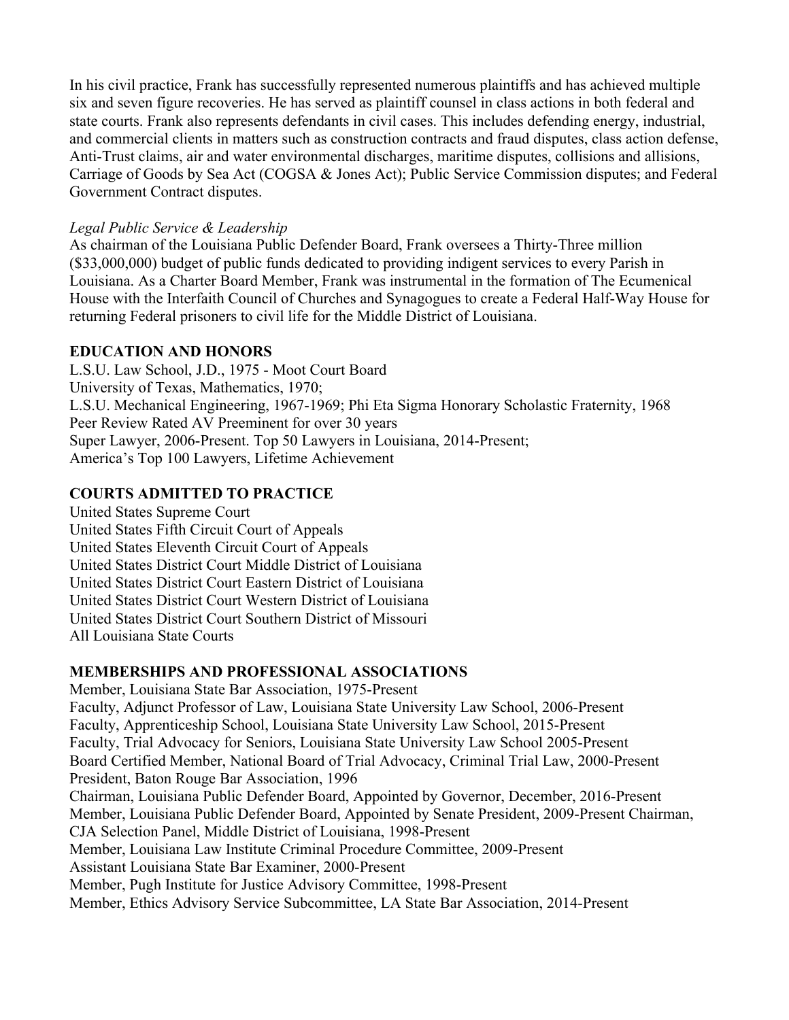In his civil practice, Frank has successfully represented numerous plaintiffs and has achieved multiple six and seven figure recoveries. He has served as plaintiff counsel in class actions in both federal and state courts. Frank also represents defendants in civil cases. This includes defending energy, industrial, and commercial clients in matters such as construction contracts and fraud disputes, class action defense, Anti-Trust claims, air and water environmental discharges, maritime disputes, collisions and allisions, Carriage of Goods by Sea Act (COGSA & Jones Act); Public Service Commission disputes; and Federal Government Contract disputes.

### *Legal Public Service & Leadership*

As chairman of the Louisiana Public Defender Board, Frank oversees a Thirty-Three million (\$33,000,000) budget of public funds dedicated to providing indigent services to every Parish in Louisiana. As a Charter Board Member, Frank was instrumental in the formation of The Ecumenical House with the Interfaith Council of Churches and Synagogues to create a Federal Half-Way House for returning Federal prisoners to civil life for the Middle District of Louisiana.

### **EDUCATION AND HONORS**

L.S.U. Law School, J.D., 1975 - Moot Court Board University of Texas, Mathematics, 1970; L.S.U. Mechanical Engineering, 1967-1969; Phi Eta Sigma Honorary Scholastic Fraternity, 1968 Peer Review Rated AV Preeminent for over 30 years Super Lawyer, 2006-Present. Top 50 Lawyers in Louisiana, 2014-Present; America's Top 100 Lawyers, Lifetime Achievement

## **COURTS ADMITTED TO PRACTICE**

United States Supreme Court United States Fifth Circuit Court of Appeals United States Eleventh Circuit Court of Appeals United States District Court Middle District of Louisiana United States District Court Eastern District of Louisiana United States District Court Western District of Louisiana United States District Court Southern District of Missouri All Louisiana State Courts

### **MEMBERSHIPS AND PROFESSIONAL ASSOCIATIONS**

Member, Louisiana State Bar Association, 1975-Present Faculty, Adjunct Professor of Law, Louisiana State University Law School, 2006-Present Faculty, Apprenticeship School, Louisiana State University Law School, 2015-Present Faculty, Trial Advocacy for Seniors, Louisiana State University Law School 2005-Present Board Certified Member, National Board of Trial Advocacy, Criminal Trial Law, 2000-Present President, Baton Rouge Bar Association, 1996 Chairman, Louisiana Public Defender Board, Appointed by Governor, December, 2016-Present Member, Louisiana Public Defender Board, Appointed by Senate President, 2009-Present Chairman, CJA Selection Panel, Middle District of Louisiana, 1998-Present Member, Louisiana Law Institute Criminal Procedure Committee, 2009-Present Assistant Louisiana State Bar Examiner, 2000-Present Member, Pugh Institute for Justice Advisory Committee, 1998-Present Member, Ethics Advisory Service Subcommittee, LA State Bar Association, 2014-Present